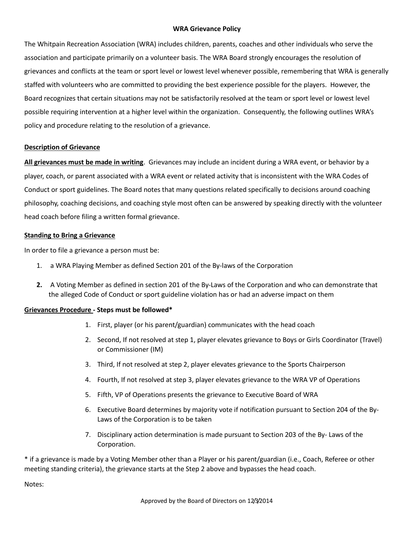### **WRA Grievance Policy**

The Whitpain Recreation Association (WRA) includes children, parents, coaches and other individuals who serve the association and participate primarily on a volunteer basis. The WRA Board strongly encourages the resolution of grievances and conflicts at the team or sport level or lowest level whenever possible, remembering that WRA is generally staffed with volunteers who are committed to providing the best experience possible for the players. However, the Board recognizes that certain situations may not be satisfactorily resolved at the team or sport level or lowest level possible requiring intervention at a higher level within the organization. Consequently, the following outlines WRA's policy and procedure relating to the resolution of a grievance.

### **Description of Grievance**

**All grievances must be made in writing**. Grievances may include an incident during a WRA event, or behavior by a player, coach, or parent associated with a WRA event or related activity that is inconsistent with the WRA Codes of Conduct or sport guidelines. The Board notes that many questions related specifically to decisions around coaching philosophy, coaching decisions, and coaching style most often can be answered by speaking directly with the volunteer head coach before filing a written formal grievance.

### **Standing to Bring a Grievance**

In order to file a grievance a person must be:

- 1. a WRA Playing Member as defined Section 201 of the By-laws of the Corporation
- **2.** A Voting Member as defined in section 201 of the By-Laws of the Corporation and who can demonstrate that the alleged Code of Conduct or sport guideline violation has or had an adverse impact on them

# **Grievances Procedure - Steps must be followed\***

- 1. First, player (or his parent/guardian) communicates with the head coach
- 2. Second, If not resolved at step 1, player elevates grievance to Boys or Girls Coordinator (Travel) or Commissioner (IM)
- 3. Third, If not resolved at step 2, player elevates grievance to the Sports Chairperson
- 4. Fourth, If not resolved at step 3, player elevates grievance to the WRA VP of Operations
- 5. Fifth, VP of Operations presents the grievance to Executive Board of WRA
- 6. Executive Board determines by majority vote if notification pursuant to Section 204 of the By-Laws of the Corporation is to be taken
- 7. Disciplinary action determination is made pursuant to Section 203 of the By- Laws of the Corporation.

\* if a grievance is made by a Voting Member other than a Player or his parent/guardian (i.e., Coach, Referee or other meeting standing criteria), the grievance starts at the Step 2 above and bypasses the head coach.

Notes: